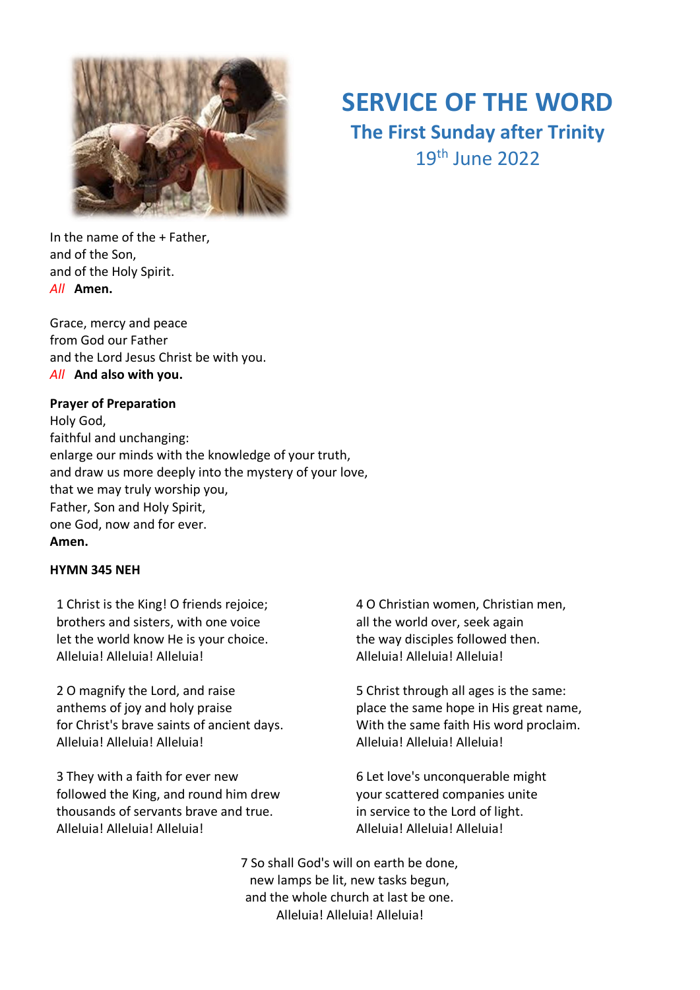

# **SERVICE OF THE WORD**

# **The First Sunday after Trinity** 19th June 2022

In the name of the + Father, and of the Son, and of the Holy Spirit. *All* **Amen.**

Grace, mercy and peace from God our Father and the Lord Jesus Christ be with you. *All* **And also with you.**

#### **Prayer of Preparation**

Holy God, faithful and unchanging: enlarge our minds with the knowledge of your truth, and draw us more deeply into the mystery of your love, that we may truly worship you, Father, Son and Holy Spirit, one God, now and for ever. **Amen.**

#### **HYMN 345 NEH**

1 Christ is the King! O friends rejoice; brothers and sisters, with one voice let the world know He is your choice. Alleluia! Alleluia! Alleluia!

2 O magnify the Lord, and raise anthems of joy and holy praise for Christ's brave saints of ancient days. Alleluia! Alleluia! Alleluia!

3 They with a faith for ever new followed the King, and round him drew thousands of servants brave and true. Alleluia! Alleluia! Alleluia!

4 O Christian women, Christian men, all the world over, seek again the way disciples followed then. Alleluia! Alleluia! Alleluia!

5 Christ through all ages is the same: place the same hope in His great name, With the same faith His word proclaim. Alleluia! Alleluia! Alleluia!

6 Let love's unconquerable might your scattered companies unite in service to the Lord of light. Alleluia! Alleluia! Alleluia!

7 So shall God's will on earth be done, new lamps be lit, new tasks begun, and the whole church at last be one. Alleluia! Alleluia! Alleluia!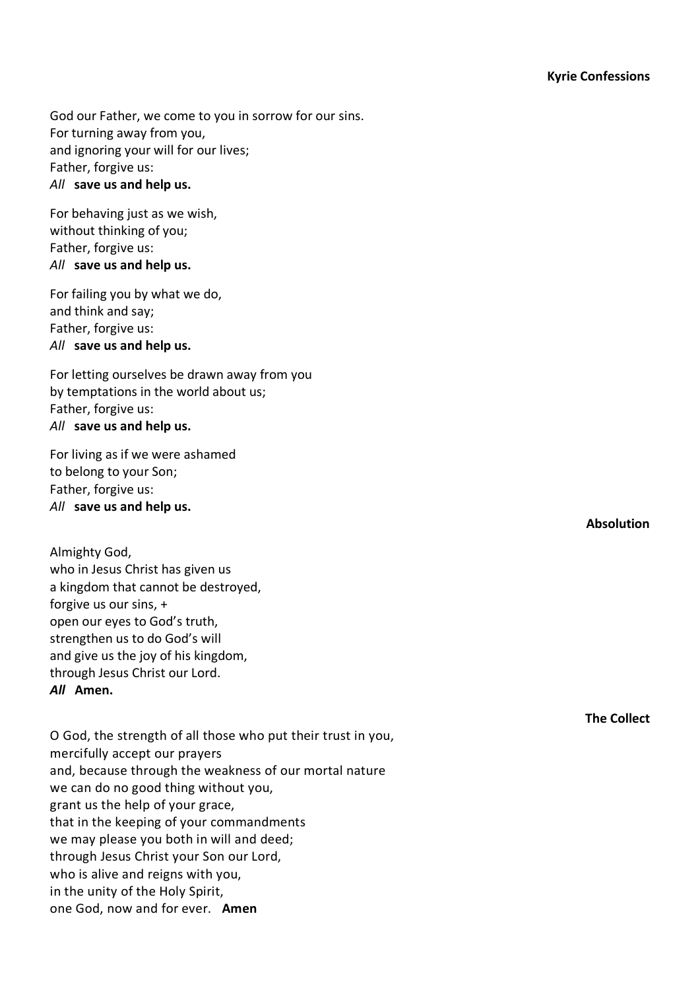God our Father, we come to you in sorrow for our sins. For turning away from you, and ignoring your will for our lives; Father, forgive us: *All* **save us and help us.**

For behaving just as we wish, without thinking of you; Father, forgive us: *All* **save us and help us.**

For failing you by what we do, and think and say; Father, forgive us: *All* **save us and help us.**

For letting ourselves be drawn away from you by temptations in the world about us; Father, forgive us: *All* **save us and help us.**

For living as if we were ashamed to belong to your Son; Father, forgive us: *All* **save us and help us.**

Almighty God, who in Jesus Christ has given us a kingdom that cannot be destroyed, forgive us our sins, + open our eyes to God's truth, strengthen us to do God's will and give us the joy of his kingdom, through Jesus Christ our Lord. *All* **Amen.**

O God, the strength of all those who put their trust in you, mercifully accept our prayers and, because through the weakness of our mortal nature we can do no good thing without you, grant us the help of your grace, that in the keeping of your commandments we may please you both in will and deed; through Jesus Christ your Son our Lord, who is alive and reigns with you, in the unity of the Holy Spirit, one God, now and for ever. **Amen**

**Absolution**

**The Collect**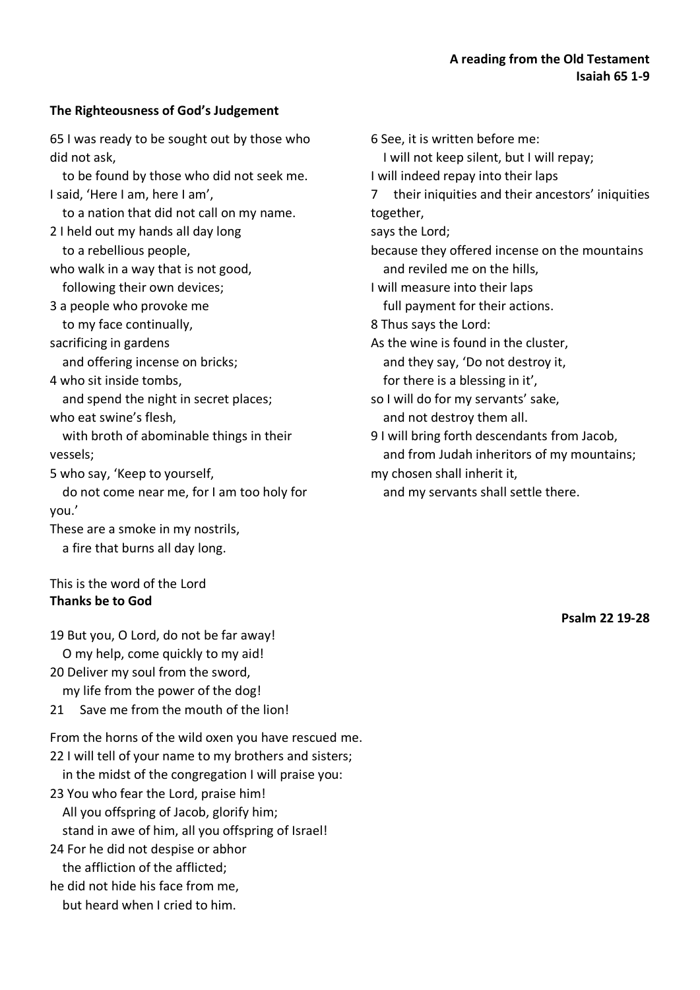# **The Righteousness of God's Judgement**

65 I was ready to be sought out by those who did not ask,

 to be found by those who did not seek me. I said, 'Here I am, here I am',

to a nation that did not call on my name.

- 2 I held out my hands all day long to a rebellious people,
- who walk in a way that is not good, following their own devices;

3 a people who provoke me

to my face continually,

sacrificing in gardens

and offering incense on bricks;

4 who sit inside tombs,

 and spend the night in secret places; who eat swine's flesh,

 with broth of abominable things in their vessels;

5 who say, 'Keep to yourself,

 do not come near me, for I am too holy for you.'

These are a smoke in my nostrils, a fire that burns all day long.

## This is the word of the Lord **Thanks be to God**

19 But you, O Lord, do not be far away! O my help, come quickly to my aid!

- 20 Deliver my soul from the sword, my life from the power of the dog!
- 21 Save me from the mouth of the lion!

From the horns of the wild oxen you have rescued me. 22 I will tell of your name to my brothers and sisters; in the midst of the congregation I will praise you: 23 You who fear the Lord, praise him! All you offspring of Jacob, glorify him; stand in awe of him, all you offspring of Israel! 24 For he did not despise or abhor the affliction of the afflicted; he did not hide his face from me, but heard when I cried to him.

6 See, it is written before me: I will not keep silent, but I will repay; I will indeed repay into their laps 7 their iniquities and their ancestors' iniquities together, says the Lord; because they offered incense on the mountains and reviled me on the hills, I will measure into their laps full payment for their actions. 8 Thus says the Lord: As the wine is found in the cluster, and they say, 'Do not destroy it, for there is a blessing in it', so I will do for my servants' sake, and not destroy them all. 9 I will bring forth descendants from Jacob, and from Judah inheritors of my mountains; my chosen shall inherit it,

and my servants shall settle there.

**Psalm 22 19-28**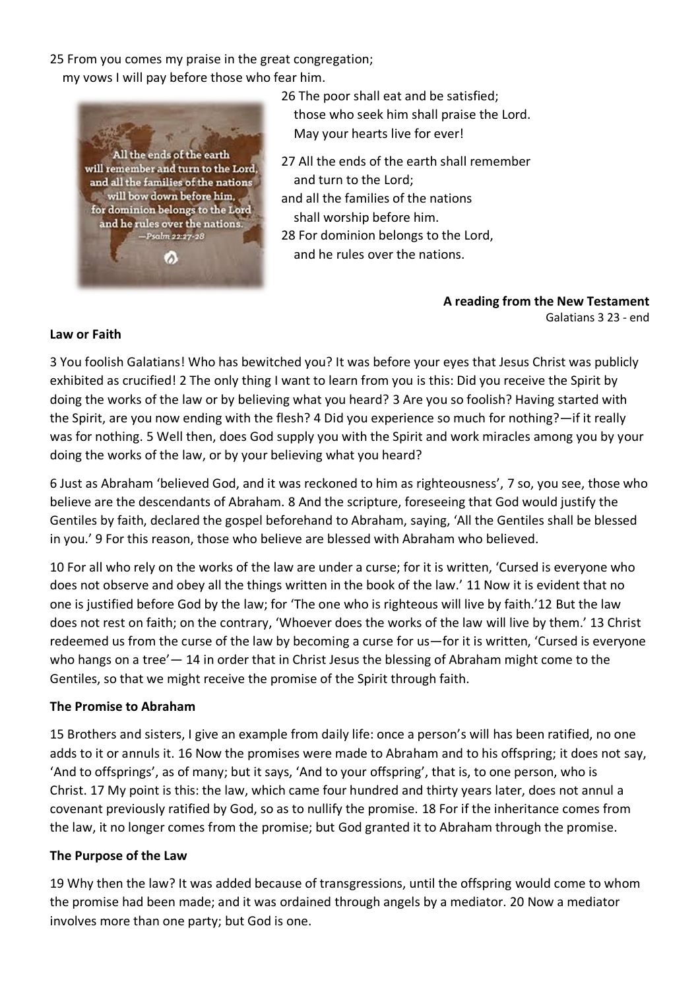25 From you comes my praise in the great congregation;

my vows I will pay before those who fear him.



26 The poor shall eat and be satisfied; those who seek him shall praise the Lord. May your hearts live for ever!

27 All the ends of the earth shall remember and turn to the Lord;

and all the families of the nations shall worship before him.

28 For dominion belongs to the Lord,

and he rules over the nations.

**A reading from the New Testament** Galatians 3 23 - end

#### **Law or Faith**

3 You foolish Galatians! Who has bewitched you? It was before your eyes that Jesus Christ was publicly exhibited as crucified! 2 The only thing I want to learn from you is this: Did you receive the Spirit by doing the works of the law or by believing what you heard? 3 Are you so foolish? Having started with the Spirit, are you now ending with the flesh? 4 Did you experience so much for nothing?—if it really was for nothing. 5 Well then, does God supply you with the Spirit and work miracles among you by your doing the works of the law, or by your believing what you heard?

6 Just as Abraham 'believed God, and it was reckoned to him as righteousness', 7 so, you see, those who believe are the descendants of Abraham. 8 And the scripture, foreseeing that God would justify the Gentiles by faith, declared the gospel beforehand to Abraham, saying, 'All the Gentiles shall be blessed in you.' 9 For this reason, those who believe are blessed with Abraham who believed.

10 For all who rely on the works of the law are under a curse; for it is written, 'Cursed is everyone who does not observe and obey all the things written in the book of the law.' 11 Now it is evident that no one is justified before God by the law; for 'The one who is righteous will live by faith.'12 But the law does not rest on faith; on the contrary, 'Whoever does the works of the law will live by them.' 13 Christ redeemed us from the curse of the law by becoming a curse for us—for it is written, 'Cursed is everyone who hangs on a tree'— 14 in order that in Christ Jesus the blessing of Abraham might come to the Gentiles, so that we might receive the promise of the Spirit through faith.

## **The Promise to Abraham**

15 Brothers and sisters, I give an example from daily life: once a person's will has been ratified, no one adds to it or annuls it. 16 Now the promises were made to Abraham and to his offspring; it does not say, 'And to offsprings', as of many; but it says, 'And to your offspring', that is, to one person, who is Christ. 17 My point is this: the law, which came four hundred and thirty years later, does not annul a covenant previously ratified by God, so as to nullify the promise. 18 For if the inheritance comes from the law, it no longer comes from the promise; but God granted it to Abraham through the promise.

## **The Purpose of the Law**

19 Why then the law? It was added because of transgressions, until the offspring would come to whom the promise had been made; and it was ordained through angels by a mediator. 20 Now a mediator involves more than one party; but God is one.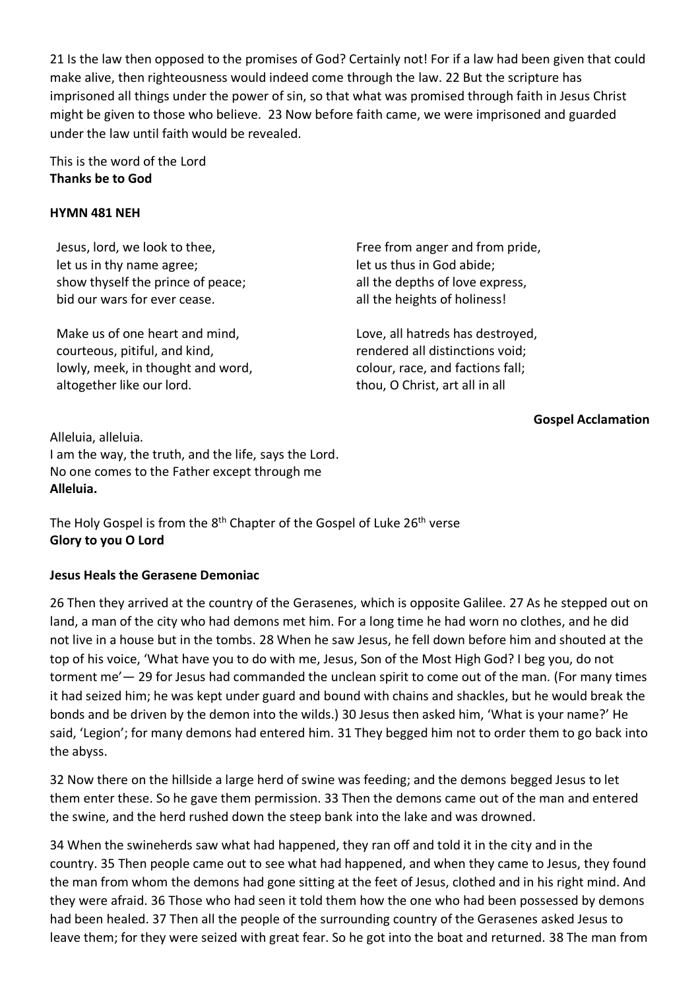21 Is the law then opposed to the promises of God? Certainly not! For if a law had been given that could make alive, then righteousness would indeed come through the law. 22 But the scripture has imprisoned all things under the power of sin, so that what was promised through faith in Jesus Christ might be given to those who believe. 23 Now before faith came, we were imprisoned and guarded under the law until faith would be revealed.

## This is the word of the Lord **Thanks be to God**

#### **HYMN 481 NEH**

Jesus, lord, we look to thee, let us in thy name agree; show thyself the prince of peace; bid our wars for ever cease.

Make us of one heart and mind, courteous, pitiful, and kind, lowly, meek, in thought and word, altogether like our lord.

Free from anger and from pride, let us thus in God abide; all the depths of love express, all the heights of holiness!

Love, all hatreds has destroyed, rendered all distinctions void; colour, race, and factions fall; thou, O Christ, art all in all

## **Gospel Acclamation**

Alleluia, alleluia. I am the way, the truth, and the life, says the Lord. No one comes to the Father except through me **Alleluia.**

The Holy Gospel is from the 8<sup>th</sup> Chapter of the Gospel of Luke 26<sup>th</sup> verse **Glory to you O Lord**

## **Jesus Heals the Gerasene Demoniac**

26 Then they arrived at the country of the Gerasenes, which is opposite Galilee. 27 As he stepped out on land, a man of the city who had demons met him. For a long time he had worn no clothes, and he did not live in a house but in the tombs. 28 When he saw Jesus, he fell down before him and shouted at the top of his voice, 'What have you to do with me, Jesus, Son of the Most High God? I beg you, do not torment me'— 29 for Jesus had commanded the unclean spirit to come out of the man. (For many times it had seized him; he was kept under guard and bound with chains and shackles, but he would break the bonds and be driven by the demon into the wilds.) 30 Jesus then asked him, 'What is your name?' He said, 'Legion'; for many demons had entered him. 31 They begged him not to order them to go back into the abyss.

32 Now there on the hillside a large herd of swine was feeding; and the demons begged Jesus to let them enter these. So he gave them permission. 33 Then the demons came out of the man and entered the swine, and the herd rushed down the steep bank into the lake and was drowned.

34 When the swineherds saw what had happened, they ran off and told it in the city and in the country. 35 Then people came out to see what had happened, and when they came to Jesus, they found the man from whom the demons had gone sitting at the feet of Jesus, clothed and in his right mind. And they were afraid. 36 Those who had seen it told them how the one who had been possessed by demons had been healed. 37 Then all the people of the surrounding country of the Gerasenes asked Jesus to leave them; for they were seized with great fear. So he got into the boat and returned. 38 The man from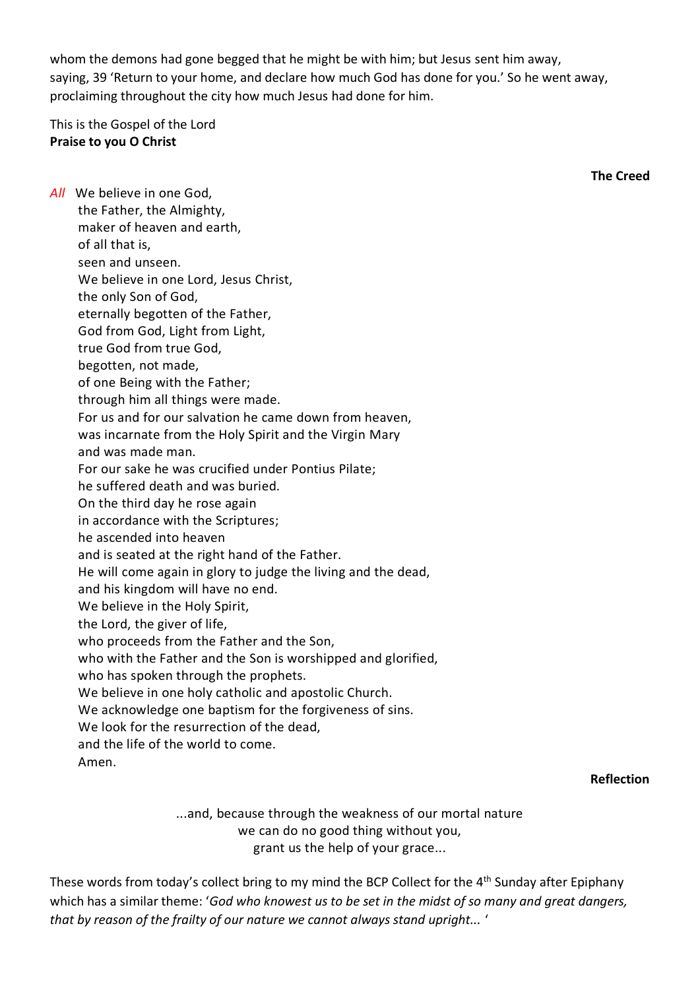whom the demons had gone begged that he might be with him; but Jesus sent him away, saying, 39 'Return to your home, and declare how much God has done for you.' So he went away, proclaiming throughout the city how much Jesus had done for him.

This is the Gospel of the Lord **Praise to you O Christ**

| All We believe in one God,                                                      |
|---------------------------------------------------------------------------------|
| the Father, the Almighty,                                                       |
| maker of heaven and earth,                                                      |
| of all that is,                                                                 |
| seen and unseen.                                                                |
| We believe in one Lord, Jesus Christ,                                           |
| the only Son of God,                                                            |
| eternally begotten of the Father,                                               |
| God from God, Light from Light,                                                 |
| true God from true God,                                                         |
| begotten, not made,                                                             |
| of one Being with the Father;                                                   |
| through him all things were made.                                               |
| For us and for our salvation he came down from heaven,                          |
| was incarnate from the Holy Spirit and the Virgin Mary                          |
| and was made man.                                                               |
| For our sake he was crucified under Pontius Pilate;                             |
| he suffered death and was buried.                                               |
| On the third day he rose again                                                  |
| in accordance with the Scriptures;                                              |
| he ascended into heaven                                                         |
| and is seated at the right hand of the Father.                                  |
| He will come again in glory to judge the living and the dead,                   |
| and his kingdom will have no end.                                               |
| We believe in the Holy Spirit,                                                  |
| the Lord, the giver of life,                                                    |
| who proceeds from the Father and the Son,                                       |
| who with the Father and the Son is worshipped and glorified,                    |
| who has spoken through the prophets.                                            |
| We believe in one holy catholic and apostolic Church.                           |
| We acknowledge one baptism for the forgiveness of sins.                         |
| We look for the resurrection of the dead,<br>and the life of the world to come. |
|                                                                                 |
| Amen.                                                                           |

#### **Reflection**

**The Creed**

...and, because through the weakness of our mortal nature we can do no good thing without you, grant us the help of your grace...

These words from today's collect bring to my mind the BCP Collect for the 4<sup>th</sup> Sunday after Epiphany which has a similar theme: '*God who knowest us to be set in the midst of so many and great dangers, that by reason of the frailty of our nature we cannot always stand upright...* '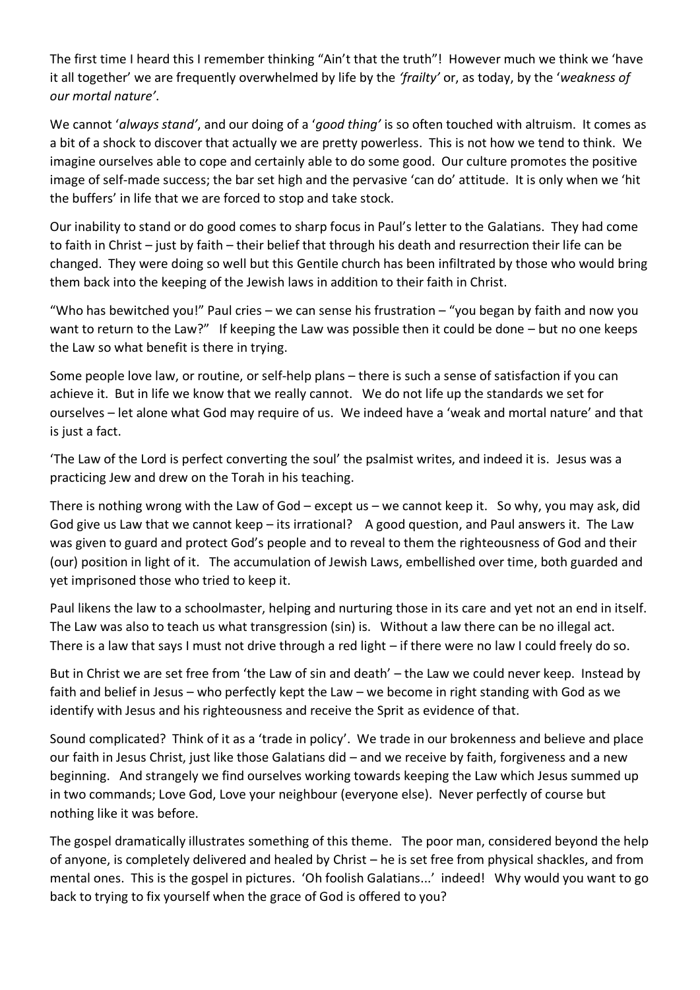The first time I heard this I remember thinking "Ain't that the truth"! However much we think we 'have it all together' we are frequently overwhelmed by life by the *'frailty'* or, as today, by the '*weakness of our mortal nature'*.

We cannot '*always stand'*, and our doing of a '*good thing'* is so often touched with altruism. It comes as a bit of a shock to discover that actually we are pretty powerless. This is not how we tend to think. We imagine ourselves able to cope and certainly able to do some good. Our culture promotes the positive image of self-made success; the bar set high and the pervasive 'can do' attitude. It is only when we 'hit the buffers' in life that we are forced to stop and take stock.

Our inability to stand or do good comes to sharp focus in Paul's letter to the Galatians. They had come to faith in Christ – just by faith – their belief that through his death and resurrection their life can be changed. They were doing so well but this Gentile church has been infiltrated by those who would bring them back into the keeping of the Jewish laws in addition to their faith in Christ.

"Who has bewitched you!" Paul cries – we can sense his frustration – "you began by faith and now you want to return to the Law?" If keeping the Law was possible then it could be done – but no one keeps the Law so what benefit is there in trying.

Some people love law, or routine, or self-help plans – there is such a sense of satisfaction if you can achieve it. But in life we know that we really cannot. We do not life up the standards we set for ourselves – let alone what God may require of us. We indeed have a 'weak and mortal nature' and that is just a fact.

'The Law of the Lord is perfect converting the soul' the psalmist writes, and indeed it is. Jesus was a practicing Jew and drew on the Torah in his teaching.

There is nothing wrong with the Law of God – except us – we cannot keep it. So why, you may ask, did God give us Law that we cannot keep – its irrational? A good question, and Paul answers it. The Law was given to guard and protect God's people and to reveal to them the righteousness of God and their (our) position in light of it. The accumulation of Jewish Laws, embellished over time, both guarded and yet imprisoned those who tried to keep it.

Paul likens the law to a schoolmaster, helping and nurturing those in its care and yet not an end in itself. The Law was also to teach us what transgression (sin) is. Without a law there can be no illegal act. There is a law that says I must not drive through a red light – if there were no law I could freely do so.

But in Christ we are set free from 'the Law of sin and death' – the Law we could never keep. Instead by faith and belief in Jesus – who perfectly kept the Law – we become in right standing with God as we identify with Jesus and his righteousness and receive the Sprit as evidence of that.

Sound complicated? Think of it as a 'trade in policy'. We trade in our brokenness and believe and place our faith in Jesus Christ, just like those Galatians did – and we receive by faith, forgiveness and a new beginning. And strangely we find ourselves working towards keeping the Law which Jesus summed up in two commands; Love God, Love your neighbour (everyone else). Never perfectly of course but nothing like it was before.

The gospel dramatically illustrates something of this theme. The poor man, considered beyond the help of anyone, is completely delivered and healed by Christ – he is set free from physical shackles, and from mental ones. This is the gospel in pictures. 'Oh foolish Galatians...' indeed! Why would you want to go back to trying to fix yourself when the grace of God is offered to you?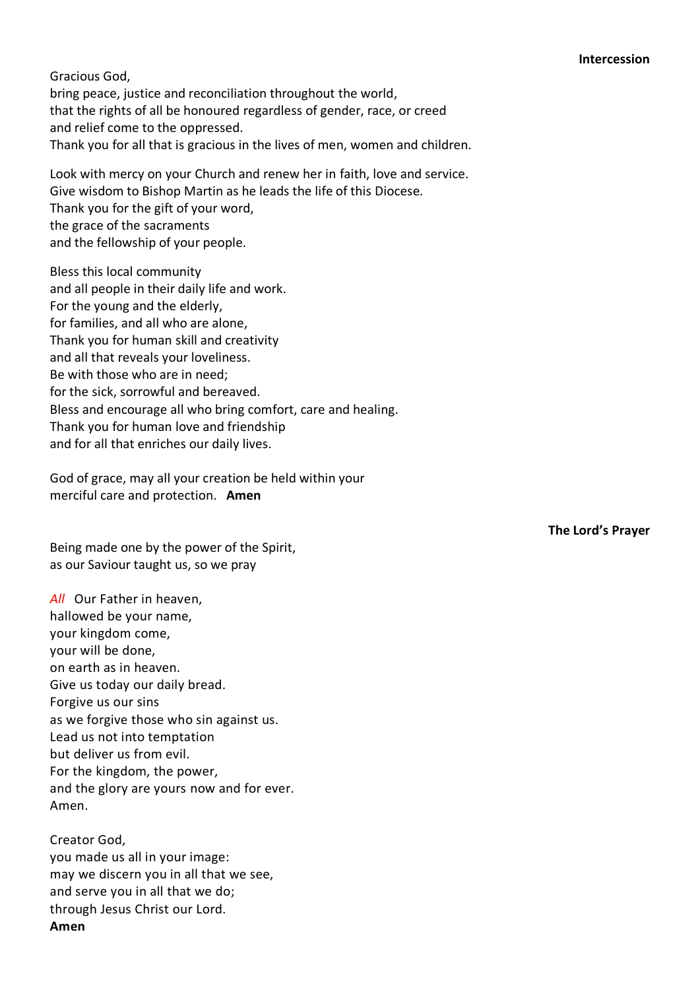Gracious God, bring peace, justice and reconciliation throughout the world, that the rights of all be honoured regardless of gender, race, or creed and relief come to the oppressed. Thank you for all that is gracious in the lives of men, women and children.

Look with mercy on your Church and renew her in faith, love and service. Give wisdom to Bishop Martin as he leads the life of this Diocese*.* Thank you for the gift of your word, the grace of the sacraments and the fellowship of your people.

Bless this local community and all people in their daily life and work. For the young and the elderly, for families, and all who are alone, Thank you for human skill and creativity and all that reveals your loveliness. Be with those who are in need; for the sick, sorrowful and bereaved. Bless and encourage all who bring comfort, care and healing. Thank you for human love and friendship and for all that enriches our daily lives.

God of grace, may all your creation be held within your merciful care and protection. **Amen**

Being made one by the power of the Spirit, as our Saviour taught us, so we pray

*All* Our Father in heaven, hallowed be your name, your kingdom come, your will be done, on earth as in heaven. Give us today our daily bread. Forgive us our sins as we forgive those who sin against us. Lead us not into temptation but deliver us from evil. For the kingdom, the power, and the glory are yours now and for ever. Amen.

Creator God, you made us all in your image: may we discern you in all that we see, and serve you in all that we do; through Jesus Christ our Lord. **Amen**

**The Lord's Prayer**